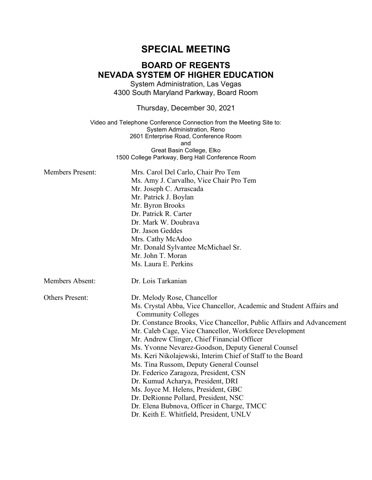# **SPECIAL MEETING**

## **BOARD OF REGENTS NEVADA SYSTEM OF HIGHER EDUCATION**

System Administration, Las Vegas 4300 South Maryland Parkway, Board Room

Thursday, December 30, 2021

Video and Telephone Conference Connection from the Meeting Site to: System Administration, Reno 2601 Enterprise Road, Conference Room and Great Basin College, Elko 1500 College Parkway, Berg Hall Conference Room

| <b>Members Present:</b> | Mrs. Carol Del Carlo, Chair Pro Tem<br>Ms. Amy J. Carvalho, Vice Chair Pro Tem<br>Mr. Joseph C. Arrascada<br>Mr. Patrick J. Boylan<br>Mr. Byron Brooks<br>Dr. Patrick R. Carter<br>Dr. Mark W. Doubrava<br>Dr. Jason Geddes<br>Mrs. Cathy McAdoo<br>Mr. Donald Sylvantee McMichael Sr.<br>Mr. John T. Moran<br>Ms. Laura E. Perkins                                                                                                                                                                                                                                                                                                                                                                                                    |
|-------------------------|----------------------------------------------------------------------------------------------------------------------------------------------------------------------------------------------------------------------------------------------------------------------------------------------------------------------------------------------------------------------------------------------------------------------------------------------------------------------------------------------------------------------------------------------------------------------------------------------------------------------------------------------------------------------------------------------------------------------------------------|
| Members Absent:         | Dr. Lois Tarkanian                                                                                                                                                                                                                                                                                                                                                                                                                                                                                                                                                                                                                                                                                                                     |
| <b>Others Present:</b>  | Dr. Melody Rose, Chancellor<br>Ms. Crystal Abba, Vice Chancellor, Academic and Student Affairs and<br><b>Community Colleges</b><br>Dr. Constance Brooks, Vice Chancellor, Public Affairs and Advancement<br>Mr. Caleb Cage, Vice Chancellor, Workforce Development<br>Mr. Andrew Clinger, Chief Financial Officer<br>Ms. Yvonne Nevarez-Goodson, Deputy General Counsel<br>Ms. Keri Nikolajewski, Interim Chief of Staff to the Board<br>Ms. Tina Russom, Deputy General Counsel<br>Dr. Federico Zaragoza, President, CSN<br>Dr. Kumud Acharya, President, DRI<br>Ms. Joyce M. Helens, President, GBC<br>Dr. DeRionne Pollard, President, NSC<br>Dr. Elena Bubnova, Officer in Charge, TMCC<br>Dr. Keith E. Whitfield, President, UNLV |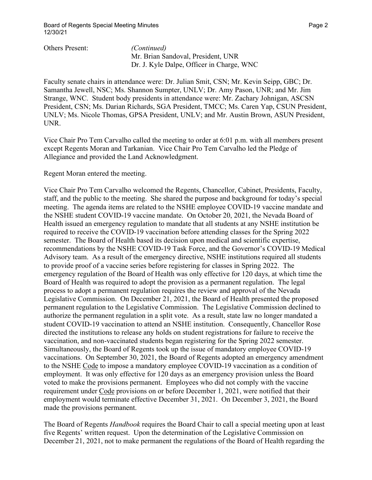Others Present: *(Continued)*

Mr. Brian Sandoval, President, UNR Dr. J. Kyle Dalpe, Officer in Charge, WNC

Faculty senate chairs in attendance were: Dr. Julian Smit, CSN; Mr. Kevin Seipp, GBC; Dr. Samantha Jewell, NSC; Ms. Shannon Sumpter, UNLV; Dr. Amy Pason, UNR; and Mr. Jim Strange, WNC. Student body presidents in attendance were: Mr. Zachary Johnigan, ASCSN President, CSN; Ms. Darian Richards, SGA President, TMCC; Ms. Caren Yap, CSUN President, UNLV; Ms. Nicole Thomas, GPSA President, UNLV; and Mr. Austin Brown, ASUN President, UNR.

Vice Chair Pro Tem Carvalho called the meeting to order at 6:01 p.m. with all members present except Regents Moran and Tarkanian. Vice Chair Pro Tem Carvalho led the Pledge of Allegiance and provided the Land Acknowledgment.

Regent Moran entered the meeting.

Vice Chair Pro Tem Carvalho welcomed the Regents, Chancellor, Cabinet, Presidents, Faculty, staff, and the public to the meeting. She shared the purpose and background for today's special meeting. The agenda items are related to the NSHE employee COVID-19 vaccine mandate and the NSHE student COVID-19 vaccine mandate. On October 20, 2021, the Nevada Board of Health issued an emergency regulation to mandate that all students at any NSHE institution be required to receive the COVID-19 vaccination before attending classes for the Spring 2022 semester. The Board of Health based its decision upon medical and scientific expertise, recommendations by the NSHE COVID-19 Task Force, and the Governor's COVID-19 Medical Advisory team. As a result of the emergency directive, NSHE institutions required all students to provide proof of a vaccine series before registering for classes in Spring 2022. The emergency regulation of the Board of Health was only effective for 120 days, at which time the Board of Health was required to adopt the provision as a permanent regulation. The legal process to adopt a permanent regulation requires the review and approval of the Nevada Legislative Commission. On December 21, 2021, the Board of Health presented the proposed permanent regulation to the Legislative Commission. The Legislative Commission declined to authorize the permanent regulation in a split vote. As a result, state law no longer mandated a student COVID-19 vaccination to attend an NSHE institution. Consequently, Chancellor Rose directed the institutions to release any holds on student registrations for failure to receive the vaccination, and non-vaccinated students began registering for the Spring 2022 semester. Simultaneously, the Board of Regents took up the issue of mandatory employee COVID-19 vaccinations. On September 30, 2021, the Board of Regents adopted an emergency amendment to the NSHE Code to impose a mandatory employee COVID-19 vaccination as a condition of employment. It was only effective for 120 days as an emergency provision unless the Board voted to make the provisions permanent. Employees who did not comply with the vaccine requirement under Code provisions on or before December 1, 2021, were notified that their employment would terminate effective December 31, 2021. On December 3, 2021, the Board made the provisions permanent.

The Board of Regents *Handbook* requires the Board Chair to call a special meeting upon at least five Regents' written request. Upon the determination of the Legislative Commission on December 21, 2021, not to make permanent the regulations of the Board of Health regarding the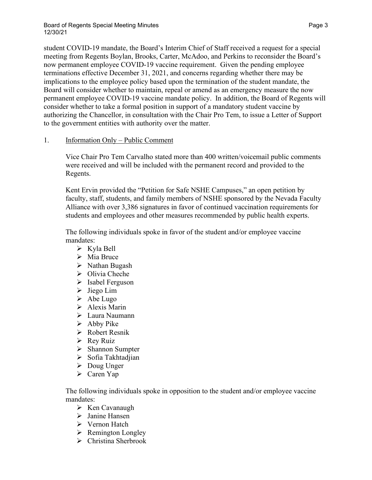student COVID-19 mandate, the Board's Interim Chief of Staff received a request for a special meeting from Regents Boylan, Brooks, Carter, McAdoo, and Perkins to reconsider the Board's now permanent employee COVID-19 vaccine requirement. Given the pending employee terminations effective December 31, 2021, and concerns regarding whether there may be implications to the employee policy based upon the termination of the student mandate, the Board will consider whether to maintain, repeal or amend as an emergency measure the now permanent employee COVID-19 vaccine mandate policy. In addition, the Board of Regents will consider whether to take a formal position in support of a mandatory student vaccine by authorizing the Chancellor, in consultation with the Chair Pro Tem, to issue a Letter of Support to the government entities with authority over the matter.

## 1. Information Only – Public Comment

Vice Chair Pro Tem Carvalho stated more than 400 written/voicemail public comments were received and will be included with the permanent record and provided to the Regents.

Kent Ervin provided the "Petition for Safe NSHE Campuses," an open petition by faculty, staff, students, and family members of NSHE sponsored by the Nevada Faculty Alliance with over 3,386 signatures in favor of continued vaccination requirements for students and employees and other measures recommended by public health experts.

The following individuals spoke in favor of the student and/or employee vaccine mandates:

- $\triangleright$  Kyla Bell
- $\triangleright$  Mia Bruce
- $\triangleright$  Nathan Bugash
- $\triangleright$  Olivia Cheche
- $\triangleright$  Isabel Ferguson
- $\triangleright$  Jiego Lim
- $\triangleright$  Abe Lugo
- $\triangleright$  Alexis Marin
- Laura Naumann
- $\triangleright$  Abby Pike
- Robert Resnik
- $\triangleright$  Rev Ruiz
- $\triangleright$  Shannon Sumpter
- $\triangleright$  Sofia Takhtadjian
- $\triangleright$  Doug Unger
- Caren Yap

The following individuals spoke in opposition to the student and/or employee vaccine mandates:

- $\triangleright$  Ken Cavanaugh
- $\triangleright$  Janine Hansen
- Vernon Hatch
- $\triangleright$  Remington Longley
- $\triangleright$  Christina Sherbrook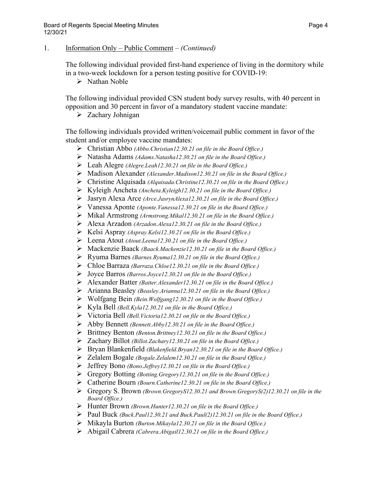The following individual provided first-hand experience of living in the dormitory while in a two-week lockdown for a person testing positive for COVID-19:

 $\triangleright$  Nathan Noble

The following individual provided CSN student body survey results, with 40 percent in opposition and 30 percent in favor of a mandatory student vaccine mandate:

 $\triangleright$  Zachary Johnigan

- Christian Abbo *(Abbo.Christian12.30.21 on file in the Board Office.)*
- Natasha Adams *(Adams.Natasha12.30.21 on file in the Board Office.)*
- Leah Alegre *(Alegre.Leah12.30.21 on file in the Board Office.)*
- Madison Alexander *(Alexander.Madison12.30.21 on file in the Board Office.)*
- Christine Alquisada *(Alquisada.Christine12.30.21 on file in the Board Office.)*
- Kyleigh Ancheta *(Ancheta.Kyleigh12.30.21 on file in the Board Office.)*
- Jasryn Alexa Arce *(Arce.JasrynAlexa12.30.21 on file in the Board Office.)*
- Vanessa Aponte *(Aponte.Vanessa12.30.21 on file in the Board Office.)*
- Mikal Armstrong *(Armstrong.Mikal12.30.21 on file in the Board Office.)*
- Alexa Arzadon *(Arzadon.Alexa12.30.21 on file in the Board Office.)*
- Kelsi Aspray *(Aspray.Kelsi12.30.21 on file in the Board Office.)*
- Leena Atout *(Atout.Leena12.30.21 on file in the Board Office.)*
- Mackenzie Baack *(Baack.Mackenzie12.30.21 on file in the Board Office.)*
- Ryuma Barnes *(Barnes.Ryuma12.30.21 on file in the Board Office.)*
- Chloe Barraza *(Barraza.Chloe12.30.21 on file in the Board Office.)*
- Joyce Barros *(Barros.Joyce12.30.21 on file in the Board Office.)*
- Alexander Batter *(Batter.Alexander12.30.21 on file in the Board Office.)*
- Arianna Beasley *(Beasley.Arianna12.30.21 on file in the Board Office.)*
- Wolfgang Bein *(Bein.Wolfgang12.30.21 on file in the Board Office.)*
- Kyla Bell *(Bell.Kyla12.30.21 on file in the Board Office.)*
- Victoria Bell *(Bell.Victoria12.30.21 on file in the Board Office.)*
- Abby Bennett *(Bennett.Abby12.30.21 on file in the Board Office.)*
- Brittney Benton *(Benton.Brittney12.30.21 on file in the Board Office.)*
- Zachary Billot *(Billot.Zachary12.30.21 on file in the Board Office.)*
- Bryan Blankenfield *(Blakenfield.Bryan12.30.21 on file in the Board Office.)*
- Zelalem Bogale *(Bogale.Zelalem12.30.21 on file in the Board Office.)*
- Jeffrey Bono *(Bono.Jeffrey12.30.21 on file in the Board Office.)*
- Gregory Botting *(Botting.Gregory12.30.21 on file in the Board Office.)*
- Catherine Bourn *(Bourn.Catherine12.30.21 on file in the Board Office.)*
- Gregory S. Brown *(Brown.GregoryS12.30.21 and Brown.GregoryS(2)12.30.21 on file in the Board Office.)*
- Hunter Brown *(Brown.Hunter12.30.21 on file in the Board Office.)*
- Paul Buck *(Buck.Paul12.30.21 and Buck.Paul(2)12.30.21 on file in the Board Office.)*
- Mikayla Burton *(Burton.Mikayla12.30.21 on file in the Board Office.)*
- Abigail Cabrera *(Cabrera.Abigail12.30.21 on file in the Board Office.)*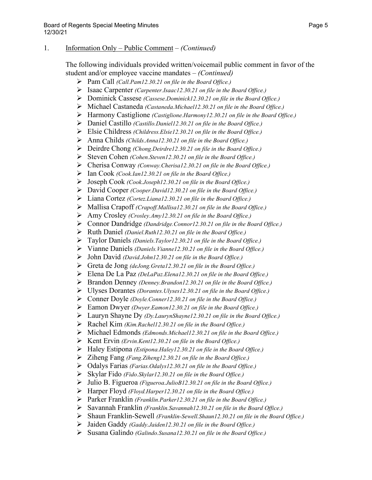- Pam Call *(Call.Pam12.30.21 on file in the Board Office.)*
- Isaac Carpenter *(Carpenter.Isaac12.30.21 on file in the Board Office.)*
- Dominick Cassese *(Cassese.Dominick12.30.21 on file in the Board Office.)*
- Michael Castaneda *(Castaneda.Michael12.30.21 on file in the Board Office.)*
- Harmony Castiglione *(Castiglione.Harmony12.30.21 on file in the Board Office.)*
- Daniel Castillo *(Castillo.Daniel12.30.21 on file in the Board Office.)*
- Elsie Childress *(Childress.Elsie12.30.21 on file in the Board Office.)*
- Anna Childs *(Childs.Anna12.30.21 on file in the Board Office.)*
- Deirdre Chong *(Chong.Deirdre12.30.21 on file in the Board Office.)*
- Steven Cohen *(Cohen.Steven12.30.21 on file in the Board Office.)*
- Cherisa Conway *(Conway.Cherisa12.30.21 on file in the Board Office.)*
- Ian Cook *(Cook.Ian12.30.21 on file in the Board Office.)*
- Joseph Cook *(Cook.Joseph12.30.21 on file in the Board Office.)*
- David Cooper *(Cooper.David12.30.21 on file in the Board Office.)*
- Liana Cortez *(Cortez.Liana12.30.21 on file in the Board Office.)*
- Mallisa Crapoff *(Crapoff.Mallisa12.30.21 on file in the Board Office.)*
- Amy Crosley *(Crosley.Amy12.30.21 on file in the Board Office.)*
- Connor Dandridge *(Dandridge.Connor12.30.21 on file in the Board Office.)*
- Ruth Daniel *(Daniel.Ruth12.30.21 on file in the Board Office.)*
- Taylor Daniels *(Daniels.Taylor12.30.21 on file in the Board Office.)*
- Vianne Daniels *(Daniels.Vianne12.30.21 on file in the Board Office.)*
- John David *(David.John12.30.21 on file in the Board Office.)*
- Greta de Jong *(deJong.Greta12.30.21 on file in the Board Office.)*
- Elena De La Paz *(DeLaPaz.Elena12.30.21 on file in the Board Office.)*
- Brandon Denney *(Denney.Brandon12.30.21 on file in the Board Office.)*
- Ulyses Dorantes *(Dorantes.Ulyses12.30.21 on file in the Board Office.)*
- Conner Doyle *(Doyle.Conner12.30.21 on file in the Board Office.)*
- Eamon Dwyer *(Dwyer.Eamon12.30.21 on file in the Board Office.)*
- Lauryn Shayne Dy *(Dy.LaurynShayne12.30.21 on file in the Board Office.)*
- Rachel Kim *(Kim.Rachel12.30.21 on file in the Board Office.)*
- Michael Edmonds *(Edmonds.Michael12.30.21 on file in the Board Office.)*
- Kent Ervin *(Ervin.Kent12.30.21 on file in the Board Office.)*
- Haley Estipona *(Estipona.Haley12.30.21 on file in the Board Office.)*
- Ziheng Fang *(Fang.Ziheng12.30.21 on file in the Board Office.)*
- Odalys Farias *(Farias.Odalys12.30.21 on file in the Board Office.)*
- Skylar Fido *(Fido.Skylar12.30.21 on file in the Board Office.)*
- Julio B. Figueroa *(Figueroa.JulioB12.30.21 on file in the Board Office.)*
- Harper Floyd *(Floyd.Harper12.30.21 on file in the Board Office.)*
- Parker Franklin *(Franklin.Parker12.30.21 on file in the Board Office.)*
- Savannah Franklin *(Franklin.Savannah12.30.21 on file in the Board Office.)*
- Shaun Franklin-Sewell *(Franklin-Sewell.Shaun12.30.21 on file in the Board Office.)*
- Jaiden Gaddy *(Gaddy.Jaiden12.30.21 on file in the Board Office.)*
- Susana Galindo *(Galindo.Susana12.30.21 on file in the Board Office.)*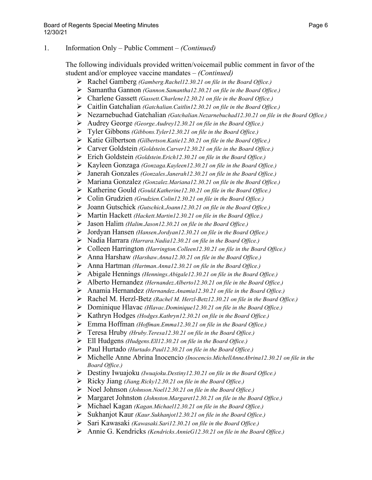- Rachel Gamberg *(Gamberg.Rachel12.30.21 on file in the Board Office.)*
- Samantha Gannon *(Gannon.Samantha12.30.21 on file in the Board Office.)*
- Charlene Gassett *(Gassett.Charlene12.30.21 on file in the Board Office.)*
- Caitlin Gatchalian *(Gatchalian.Caitlin12.30.21 on file in the Board Office.)*
- Nezarnebuchad Gatchalian *(Gatchalian.Nezarnebuchad12.30.21 on file in the Board Office.)*
- Audrey George *(George.Audrey12.30.21 on file in the Board Office.)*
- Tyler Gibbons *(Gibbons.Tyler12.30.21 on file in the Board Office.)*
- Katie Gilbertson *(Gilbertson.Katie12.30.21 on file in the Board Office.)*
- Carver Goldstein *(Goldstein.Carver12.30.21 on file in the Board Office.)*
- Erich Goldstein *(Goldstein.Erich12.30.21 on file in the Board Office.)*
- Kayleen Gonzaga *(Gonzaga.Kayleen12.30.21 on file in the Board Office.)*
- Janerah Gonzales *(Gonzales.Janerah12.30.21 on file in the Board Office.)*
- Mariana Gonzalez *(Gonzalez.Mariana12.30.21 on file in the Board Office.)*
- Katherine Gould *(Gould.Katherine12.30.21 on file in the Board Office.)*
- Colin Grudzien *(Grudzien.Colin12.30.21 on file in the Board Office.)*
- Joann Gutschick *(Gutschick.Joann12.30.21 on file in the Board Office.)*
- Martin Hackett *(Hackett.Martin12.30.21 on file in the Board Office.)*
- Jason Halim *(Halim.Jason12.30.21 on file in the Board Office.)*
- Jordyan Hansen *(Hansen.Jordyan12.30.21 on file in the Board Office.)*
- Nadia Harrara *(Harrara.Nadia12.30.21 on file in the Board Office.)*
- Colleen Harrington *(Harrington.Colleen12.30.21 on file in the Board Office.)*
- Anna Harshaw *(Harshaw.Anna12.30.21 on file in the Board Office.)*
- Anna Hartman *(Hartman.Anna12.30.21 on file in the Board Office.)*
- Abigale Hennings *(Hennings.Abigale12.30.21 on file in the Board Office.)*
- Alberto Hernandez *(Hernandez.Alberto12.30.21 on file in the Board Office.)*
- Anamia Hernandez *(Hernandez.Anamia12.30.21 on file in the Board Office.)*
- Rachel M. Herzl-Betz *(Rachel M. Herzl-Betz12.30.21 on file in the Board Office.)*
- Dominique Hlavac *(Hlavac.Dominique12.30.21 on file in the Board Office.)*
- Kathryn Hodges *(Hodges.Kathryn12.30.21 on file in the Board Office.)*
- Emma Hoffman *(Hoffman.Emma12.30.21 on file in the Board Office.)*
- Teresa Hruby *(Hruby.Teresa12.30.21 on file in the Board Office.)*
- Ell Hudgens *(Hudgens.Ell12.30.21 on file in the Board Office.)*
- Paul Hurtado *(Hurtado.Paul12.30.21 on file in the Board Office.)*
- Michelle Anne Abrina Inocencio *(Inocencio.MichellAnneAbrina12.30.21 on file in the Board Office.)*
- Destiny Iwuajoku *(Iwuajoku.Destiny12.30.21 on file in the Board Office.)*
- Ricky Jiang *(Jiang.Ricky12.30.21 on file in the Board Office.)*
- Noel Johnson *(Johnson.Noel12.30.21 on file in the Board Office.)*
- Margaret Johnston *(Johnston.Margaret12.30.21 on file in the Board Office.)*
- Michael Kagan *(Kagan.Michael12.30.21 on file in the Board Office.)*
- Sukhanjot Kaur *(Kaur.Sukhanjot12.30.21 on file in the Board Office.)*
- Sari Kawasaki *(Kawasaki.Sari12.30.21 on file in the Board Office.)*
- Annie G. Kendricks *(Kendricks.AnnieG12.30.21 on file in the Board Office.)*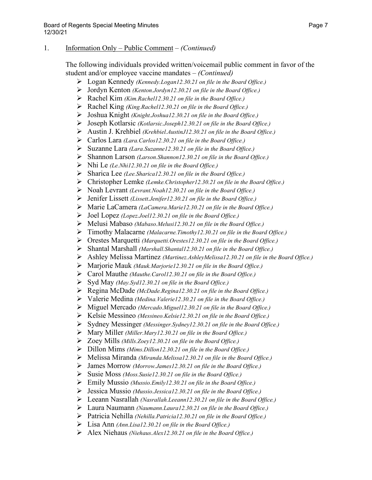- Logan Kennedy *(Kennedy.Logan12.30.21 on file in the Board Office.)*
- Jordyn Kenton *(Kenton.Jordyn12.30.21 on file in the Board Office.)*
- Rachel Kim *(Kim.Rachel12.30.21 on file in the Board Office.)*
- Rachel King *(King.Rachel12.30.21 on file in the Board Office.)*
- Joshua Knight *(Knight.Joshua12.30.21 on file in the Board Office.)*
- Joseph Kotlarsic *(Kotlarsic.Joseph12.30.21 on file in the Board Office.)*
- Austin J. Krehbiel *(Krehbiel.AustinJ12.30.21 on file in the Board Office.)*
- Carlos Lara *(Lara.Carlos12.30.21 on file in the Board Office.)*
- Suzanne Lara *(Lara.Suzanne12.30.21 on file in the Board Office.)*
- Shannon Larson *(Larson.Shannon12.30.21 on file in the Board Office.)*
- Nhi Le *(Le.Nhi12.30.21 on file in the Board Office.)*
- Sharica Lee *(Lee.Sharica12.30.21 on file in the Board Office.)*
- Christopher Lemke *(Lemke.Christopher12.30.21 on file in the Board Office.)*
- Noah Levrant *(Levrant.Noah12.30.21 on file in the Board Office.)*
- Jenifer Lissett *(Lissett.Jenifer12.30.21 on file in the Board Office.)*
- Marie LaCamera *(LaCamera.Marie12.30.21 on file in the Board Office.)*
- Joel Lopez *(Lopez.Joel12.30.21 on file in the Board Office.)*
- Melusi Mabaso *(Mabaso.Melusi12.30.21 on file in the Board Office.)*
- Timothy Malacarne *(Malacarne.Timothy12.30.21 on file in the Board Office.)*
- Orestes Marquetti *(Marquetti.Orestes12.30.21 on file in the Board Office.)*
- Shantal Marshall *(Marshall.Shantal12.30.21 on file in the Board Office.)*
- Ashley Melissa Martinez *(Martinez.AshleyMelissa12.30.21 on file in the Board Office.)*
- Marjorie Mauk *(Mauk.Marjorie12.30.21 on file in the Board Office.)*
- Carol Mauthe *(Mauthe.Carol12.30.21 on file in the Board Office.)*
- Syd May *(May.Syd12.30.21 on file in the Board Office.)*
- Regina McDade *(McDade.Regina12.30.21 on file in the Board Office.)*
- Valerie Medina *(Medina.Valerie12.30.21 on file in the Board Office.)*
- Miguel Mercado *(Mercado.Miguel12.30.21 on file in the Board Office.)*
- Kelsie Messineo *(Messineo.Kelsie12.30.21 on file in the Board Office.)*
- Sydney Messinger *(Messinger.Sydney12.30.21 on file in the Board Office.)*
- Mary Miller *(Miller.Mary12.30.21 on file in the Board Office.)*
- Zoey Mills *(Mills.Zoey12.30.21 on file in the Board Office.)*
- Dillon Mims *(Mims.Dillon12.30.21 on file in the Board Office.)*
- Melissa Miranda *(Miranda.Melissa12.30.21 on file in the Board Office.)*
- James Morrow *(Morrow.James12.30.21 on file in the Board Office.)*
- Susie Moss *(Moss.Susie12.30.21 on file in the Board Office.)*
- Emily Mussio *(Mussio.Emily12.30.21 on file in the Board Office.)*
- Jessica Mussio *(Mussio.Jessica12.30.21 on file in the Board Office.)*
- Leeann Nasrallah *(Nasrallah.Leeann12.30.21 on file in the Board Office.)*
- Laura Naumann *(Naumann.Laura12.30.21 on file in the Board Office.)*
- Patricia Nehilla *(Nehilla.Patricia12.30.21 on file in the Board Office.)*
- Lisa Ann *(Ann.Lisa12.30.21 on file in the Board Office.)*
- Alex Niehaus *(Niehaus.Alex12.30.21 on file in the Board Office.)*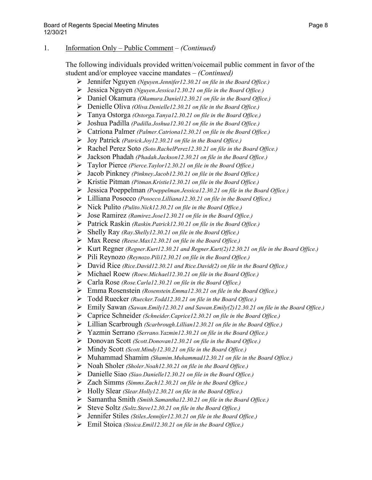- Jennifer Nguyen *(Nguyen.Jennifer12.30.21 on file in the Board Office.)*
- Jessica Nguyen *(Nguyen.Jessica12.30.21 on file in the Board Office.)*
- Daniel Okamura *(Okamura.Daniel12.30.21 on file in the Board Office.)*
- Denielle Oliva *(Oliva.Denielle12.30.21 on file in the Board Office.)*
- Tanya Ostorga *(Ostorga.Tanya12.30.21 on file in the Board Office.)*
- Joshua Padilla *(Padilla.Joshua12.30.21 on file in the Board Office.)*
- Catriona Palmer *(Palmer.Catriona12.30.21 on file in the Board Office.)*
- Joy Patrick *(Patrick.Joy12.30.21 on file in the Board Office.)*
- Rachel Perez Soto *(Soto.RachelPerez12.30.21 on file in the Board Office.)*
- Jackson Phadah *(Phadah.Jackson12.30.21 on file in the Board Office.)*
- Taylor Pierce *(Pierce.Taylor12.30.21 on file in the Board Office.)*
- Jacob Pinkney *(Pinkney.Jacob12.30.21 on file in the Board Office.)*
- Kristie Pitman *(Pitman.Kristie12.30.21 on file in the Board Office.)*
- Jessica Poeppelman *(Poeppelman.Jessica12.30.21 on file in the Board Office.)*
- Lilliana Posocco *(Posocco.Lilliana12.30.21 on file in the Board Office.)*
- Nick Pulito *(Pulito.Nick12.30.21 on file in the Board Office.)*
- Jose Ramirez *(Ramirez.Jose12.30.21 on file in the Board Office.)*
- Patrick Raskin *(Raskin.Patrick12.30.21 on file in the Board Office.)*
- Shelly Ray *(Ray.Shelly12.30.21 on file in the Board Office.)*
- Max Reese *(Reese.Max12.30.21 on file in the Board Office.)*
- Kurt Regner *(Regner.Kurt12.30.21 and Regner.Kurt(2)12.30.21 on file in the Board Office.)*
- Pili Reynozo *(Reynozo.Pili12.30.21 on file in the Board Office.)*
- David Rice *(Rice.David12.30.21 and Rice.David(2) on file in the Board Office.)*
- Michael Roew *(Roew.Michael12.30.21 on file in the Board Office.)*
- Carla Rose *(Rose.Carla12.30.21 on file in the Board Office.)*
- Emma Rosenstein *(Rosenstein.Emma12.30.21 on file in the Board Office.)*
- Todd Ruecker *(Ruecker.Todd12.30.21 on file in the Board Office.)*
- Emily Sawan *(Sawan.Emily12.30.21 and Sawan.Emily(2)12.30.21 on file in the Board Office.)*
- Caprice Schneider *(Schneider.Caprice12.30.21 on file in the Board Office.)*
- Lillian Scarbrough *(Scarbrough.Lillian12.30.21 on file in the Board Office.)*
- Yazmin Serrano *(Serrano.Yazmin12.30.21 on file in the Board Office.)*
- Donovan Scott *(Scott.Donovan12.30.21 on file in the Board Office.)*
- Mindy Scott *(Scott.Mindy12.30.21 on file in the Board Office.)*
- Muhammad Shamim *(Shamim.Muhammad12.30.21 on file in the Board Office.)*
- Noah Sholer *(Sholer.Noah12.30.21 on file in the Board Office.)*
- Danielle Siao *(Siao.Danielle12.30.21 on file in the Board Office.)*
- Zach Simms *(Simms.Zach12.30.21 on file in the Board Office.)*
- Holly Slear *(Slear.Holly12.30.21 on file in the Board Office.)*
- Samantha Smith *(Smith.Samantha12.30.21 on file in the Board Office.)*
- Steve Soltz *(Soltz.Steve12.30.21 on file in the Board Office.)*
- Jennifer Stiles *(Stiles.Jennifer12.30.21 on file in the Board Office.)*
- Emil Stoica *(Stoica.Emil12.30.21 on file in the Board Office.)*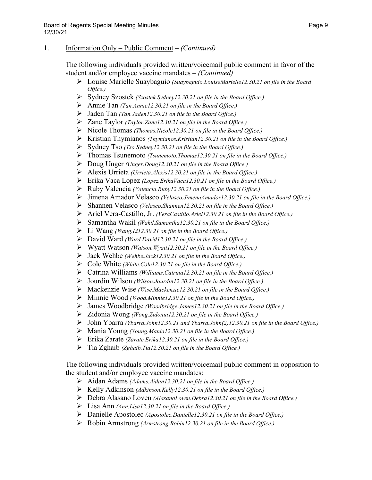The following individuals provided written/voicemail public comment in favor of the student and/or employee vaccine mandates – *(Continued)*

- Louise Marielle Suaybaguio *(Suaybaguio.LouiseMarielle12.30.21 on file in the Board Office.)*
- Sydney Szostek *(Szostek.Sydney12.30.21 on file in the Board Office.)*
- Annie Tan *(Tan.Annie12.30.21 on file in the Board Office.)*
- Jaden Tan *(Tan.Jaden12.30.21 on file in the Board Office.)*
- Zane Taylor *(Taylor.Zane12.30.21 on file in the Board Office.)*
- Nicole Thomas *(Thomas.Nicole12.30.21 on file in the Board Office.)*
- Kristian Thymianos *(Thymianos.Kristian12.30.21 on file in the Board Office.)*
- Sydney Tso *(Tso.Sydney12.30.21 on file in the Board Office.)*
- Thomas Tsunemoto *(Tsunemoto.Thomas12.30.21 on file in the Board Office.)*
- Doug Unger *(Unger.Doug12.30.21 on file in the Board Office.)*
- Alexis Urrieta *(Urrieta.Alexis12.30.21 on file in the Board Office.)*
- Erika Vaca Lopez *(Lopez.ErikaVaca12.30.21 on file in the Board Office.)*
- Ruby Valencia *(Valencia.Ruby12.30.21 on file in the Board Office.)*
- Jimena Amador Velasco *(Velasco.JimenaAmador12.30.21 on file in the Board Office.)*
- Shannen Velasco *(Velasco.Shannen12.30.21 on file in the Board Office.)*
- Ariel Vera-Castillo, Jr. *(VeraCastillo.Ariel12.30.21 on file in the Board Office.)*
- Samantha Wakil *(Wakil.Samantha12.30.21 on file in the Board Office.)*
- Li Wang *(Wang.Li12.30.21 on file in the Board Office.)*
- David Ward *(Ward.David12.30.21 on file in the Board Office.)*
- Wyatt Watson *(Watson.Wyatt12.30.21 on file in the Board Office.)*
- Jack Wehbe *(Wehbe.Jack12.30.21 on file in the Board Office.)*
- Cole White *(White.Cole12.30.21 on file in the Board Office.)*
- Catrina Williams *(Williams.Catrina12.30.21 on file in the Board Office.)*
- Jourdin Wilson *(Wilson.Jourdin12.30.21 on file in the Board Office.)*
- Mackenzie Wise *(Wise.Mackenzie12.30.21 on file in the Board Office.)*
- Minnie Wood *(Wood.Minnie12.30.21 on file in the Board Office.)*
- James Woodbridge *(Woodbridge.James12.30.21 on file in the Board Office.)*
- Zidonia Wong *(Wong.Zidonia12.30.21 on file in the Board Office.)*
- John Ybarra *(Ybarra.John12.30.21 and Ybarra.John(2)12.30.21 on file in the Board Office.)*
- Mania Young *(Young.Mania12.30.21 on file in the Board Office.)*
- Erika Zarate *(Zarate.Erika12.30.21 on file in the Board Office.)*
- Tia Zghaib *(Zghaib.Tia12.30.21 on file in the Board Office.)*

- Aidan Adams *(Adams.Aidan12.30.21 on file in the Board Office.)*
- Kelly Adkinson *(Adkinson.Kelly12.30.21 on file in the Board Office.)*
- Debra Alasano Loven *(AlasanoLoven.Debra12.30.21 on file in the Board Office.)*
- Lisa Ann *(Ann.Lisa12.30.21 on file in the Board Office.)*
- Danielle Apostolec *(Apostolec.Danielle12.30.21 on file in the Board Office.)*
- Robin Armstrong *(Armstrong.Robin12.30.21 on file in the Board Office.)*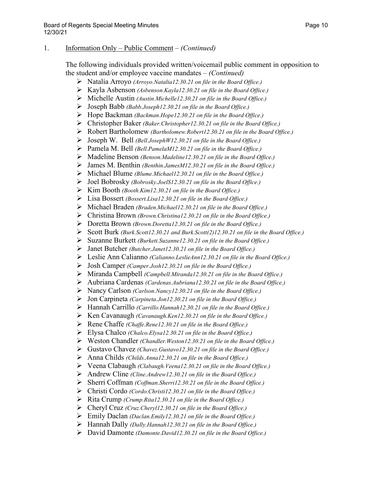- Natalia Arroyo *(Arroyo.Natalia12.30.21 on file in the Board Office.)*
- Kayla Asbenson *(Asbenson.Kayla12.30.21 on file in the Board Office.)*
- Michelle Austin *(Austin.Michelle12.30.21 on file in the Board Office.)*
- Joseph Babb *(Babb.Joseph12.30.21 on file in the Board Office.)*
- Hope Backman *(Backman.Hope12.30.21 on file in the Board Office.)*
- Christopher Baker *(Baker.Christopher12.30.21 on file in the Board Office.)*
- Robert Bartholomew *(Bartholomew.Robert12.30.21 on file in the Board Office.)*
- Joseph W. Bell *(Bell.JosephW12.30.21 on file in the Board Office.)*
- Pamela M. Bell *(Bell.PamelaM12.30.21 on file in the Board Office.)*
- Madeline Benson *(Benson.Madeline12.30.21 on file in the Board Office.)*
- James M. Benthin *(Benthin.JamesM12.30.21 on file in the Board Office.)*
- Michael Blume *(Blume.Michael12.30.21 on file in the Board Office.)*
- Joel Bobrosky *(Bobrosky.JoelS12.30.21 on file in the Board Office.)*
- Kim Booth *(Booth.Kim12.30.21 on file in the Board Office.)*
- Lisa Bossert *(Bossert.Lisa12.30.21 on file in the Board Office.)*
- Michael Braden *(Braden.Michael12.30.21 on file in the Board Office.)*
- Christina Brown *(Brown.Christina12.30.21 on file in the Board Office.)*
- Doretta Brown *(Brown.Doretta12.30.21 on file in the Board Office.)*
- Scott Burk *(Burk.Scott12.30.21 and Burk.Scott(2)12.30.21 on file in the Board Office.)*
- Suzanne Burkett *(Burkett.Suzanne12.30.21 on file in the Board Office.)*
- Janet Butcher *(Butcher.Janet12.30.21 on file in the Board Office.)*
- Leslie Ann Calianno *(Calianno.LeslieAnn12.30.21 on file in the Board Office.)*
- Josh Camper *(Camper.Josh12.30.21 on file in the Board Office.)*
- Miranda Campbell *(Campbell.Miranda12.30.21 on file in the Board Office.)*
- Aubriana Cardenas *(Cardenas.Aubriana12.30.21 on file in the Board Office.)*
- Nancy Carlson *(Carlson.Nancy12.30.21 on file in the Board Office.)*
- Jon Carpineta *(Carpineta.Jon12.30.21 on file in the Board Office.)*
- Hannah Carrillo *(Carrillo.Hannah12.30.21 on file in the Board Office.)*
- Ken Cavanaugh *(Cavanaugh.Ken12.30.21 on file in the Board Office.)*
- Rene Chaffe *(Chaffe.Rene12.30.21 on file in the Board Office.)*
- Elysa Chalco *(Chalco.Elysa12.30.21 on file in the Board Office.)*
- Weston Chandler *(Chandler.Weston12.30.21 on file in the Board Office.)*
- Gustavo Chavez *(Chavez.Gustavo12.30.21 on file in the Board Office.)*
- Anna Childs *(Childs.Anna12.30.21 on file in the Board Office.)*
- Veena Clabaugh *(Clabaugh.Veena12.30.21 on file in the Board Office.)*
- Andrew Cline *(Cline.Andrew12.30.21 on file in the Board Office.)*
- Sherri Coffman *(Coffman.Sherri12.30.21 on file in the Board Office.)*
- Christi Cordo *(Cordo.Christi12.30.21 on file in the Board Office.)*
- Rita Crump *(Crump.Rita12.30.21 on file in the Board Office.)*
- Cheryl Cruz *(Cruz.Cheryl12.30.21 on file in the Board Office.)*
- Emily Daclan *(Daclan.Emily12.30.21 on file in the Board Office.)*
- Hannah Dally *(Dally.Hannah12.30.21 on file in the Board Office.)*
- David Damonte *(Damonte.David12.30.21 on file in the Board Office.)*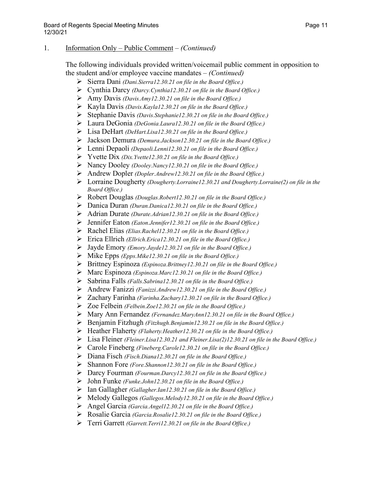- Sierra Dani *(Dani.Sierra12.30.21 on file in the Board Office.)*
- Cynthia Darcy *(Darcy.Cynthia12.30.21 on file in the Board Office.)*
- Amy Davis *(Davis.Amy12.30.21 on file in the Board Office.)*
- Kayla Davis *(Davis.Kayla12.30.21 on file in the Board Office.)*
- Stephanie Davis *(Davis.Stephanie12.30.21 on file in the Board Office.)*
- Laura DeGonia *(DeGonia.Laura12.30.21 on file in the Board Office.)*
- Lisa DeHart *(DeHart.Lisa12.30.21 on file in the Board Office.)*
- Jackson Demura *(Demura.Jackson12.30.21 on file in the Board Office.)*
- Lenni Depaoli *(Depaoli.Lenni12.30.21 on file in the Board Office.)*
- Yvette Dix *(Dix.Yvette12.30.21 on file in the Board Office.)*
- Nancy Dooley *(Dooley.Nancy12.30.21 on file in the Board Office.)*
- Andrew Dopler *(Dopler.Andrew12.30.21 on file in the Board Office.)*
- Lorraine Dougherty *(Dougherty.Lorraine12.30.21 and Dougherty.Lorraine(2) on file in the Board Office.)*
- Robert Douglas *(Douglas.Robert12.30.21 on file in the Board Office.)*
- Danica Duran *(Duran.Danica12.30.21 on file in the Board Office.)*
- Adrian Durate *(Durate.Adrian12.30.21 on file in the Board Office.)*
- Jennifer Eaton *(Eaton.Jennifer12.30.21 on file in the Board Office.)*
- Rachel Elias *(Elias.Rachel12.30.21 on file in the Board Office.)*
- Erica Ellrich *(Ellrich.Erica12.30.21 on file in the Board Office.)*
- Jayde Emory *(Emory.Jayde12.30.21 on file in the Board Office.)*
- Mike Epps *(Epps.Mike12.30.21 on file in the Board Office.)*
- Brittney Espinoza *(Espinoza.Brittney12.30.21 on file in the Board Office.)*
- Marc Espinoza *(Espinoza.Marc12.30.21 on file in the Board Office.)*
- Sabrina Falls *(Falls.Sabrina12.30.21 on file in the Board Office.)*
- Andrew Fanizzi *(Fanizzi.Andrew12.30.21 on file in the Board Office.)*
- Zachary Farinha *(Farinha.Zachary12.30.21 on file in the Board Office.)*
- Zoe Felbein *(Felbein.Zoe12.30.21 on file in the Board Office.)*
- Mary Ann Fernandez *(Fernandez.MaryAnn12.30.21 on file in the Board Office.)*
- Benjamin Fitzhugh *(Fitzhugh.Benjamin12.30.21 on file in the Board Office.)*
- Heather Flaherty *(Flaherty.Heather12.30.21 on file in the Board Office.)*
- Lisa Fleiner *(Fleiner.Lisa12.30.21 and Fleiner.Lisa(2)12.30.21 on file in the Board Office.)*
- Carole Fineberg *(Fineberg.Carole12.30.21 on file in the Board Office.)*
- Diana Fisch *(Fisch.Diana12.30.21 on file in the Board Office.)*
- Shannon Fore *(Fore.Shannon12.30.21 on file in the Board Office.)*
- Darcy Fourman *(Fourman.Darcy12.30.21 on file in the Board Office.)*
- John Funke *(Funke.John12.30.21 on file in the Board Office.)*
- Ian Gallagher *(Gallagher.Ian12.30.21 on file in the Board Office.)*
- Melody Gallegos *(Gallegos.Melody12.30.21 on file in the Board Office.)*
- Angel Garcia *(Garcia.Angel12.30.21 on file in the Board Office.)*
- Rosalie Garcia *(Garcia.Rosalie12.30.21 on file in the Board Office.)*
- Terri Garrett *(Garrett.Terri12.30.21 on file in the Board Office.)*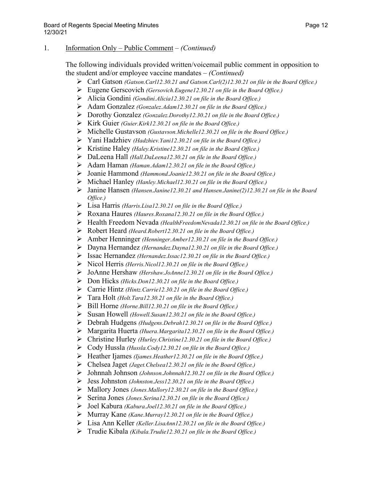- Carl Gatson *(Gatson.Carl12.30.21 and Gatson.Carl(2)12.30.21 on file in the Board Office.)*
- Eugene Gerscovich *(Gersovich.Eugene12.30.21 on file in the Board Office.)*
- Alicia Gondini *(Gondini.Alicia12.30.21 on file in the Board Office.)*
- Adam Gonzalez *(Gonzalez.Adam12.30.21 on file in the Board Office.)*
- Dorothy Gonzalez *(Gonzalez.Dorothy12.30.21 on file in the Board Office.)*
- Kirk Guier *(Guier.Kirk12.30.21 on file in the Board Office.)*
- Michelle Gustavson *(Gustavson.Michelle12.30.21 on file in the Board Office.)*
- Yani Hadzhiev *(Hadzhiev.Yani12.30.21 on file in the Board Office.)*
- Kristine Haley *(Haley.Kristine12.30.21 on file in the Board Office.)*
- DaLeena Hall *(Hall.DaLeena12.30.21 on file in the Board Office.)*
- Adam Haman *(Haman.Adam12.30.21 on file in the Board Office.)*
- Joanie Hammond *(Hammond.Joanie12.30.21 on file in the Board Office.)*
- Michael Hanley *(Hanley.Michael12.30.21 on file in the Board Office.)*
- Janine Hansen *(Hansen.Janine12.30.21 and Hansen.Janine(2)12.30.21 on file in the Board Office.)*
- Lisa Harris *(Harris.Lisa12.30.21 on file in the Board Office.)*
- Roxana Haures *(Haures.Roxana12.30.21 on file in the Board Office.)*
- Health Freedom Nevada *(HealthFreedomNevada12.30.21 on file in the Board Office.)*
- Robert Heard *(Heard.Robert12.30.21 on file in the Board Office.)*
- Amber Henninger *(Henninger.Amber12.30.21 on file in the Board Office.)*
- Dayna Hernandez *(Hernandez.Dayna12.30.21 on file in the Board Office.)*
- Issac Hernandez *(Hernandez.Issac12.30.21 on file in the Board Office.)*
- Nicol Herris *(Herris.Nicol12.30.21 on file in the Board Office.)*
- JoAnne Hershaw *(Hershaw.JoAnne12.30.21 on file in the Board Office.)*
- Don Hicks *(Hicks.Don12.30.21 on file in the Board Office.)*
- Carrie Hintz *(Hintz.Carrie12.30.21 on file in the Board Office.)*
- Tara Holt *(Holt.Tara12.30.21 on file in the Board Office.)*
- Bill Horne *(Horne.Bill12.30.21 on file in the Board Office.)*
- Susan Howell *(Howell.Susan12.30.21 on file in the Board Office.)*
- Debrah Hudgens *(Hudgens.Debrah12.30.21 on file in the Board Office.)*
- Margarita Huerta *(Huera.Margarita12.30.21 on file in the Board Office.)*
- Christine Hurley *(Hurley.Christine12.30.21 on file in the Board Office.)*
- Cody Hussla *(Hussla.Cody12.30.21 on file in the Board Office.)*
- Heather Ijames *(Ijames.Heather12.30.21 on file in the Board Office.)*
- Chelsea Jaget *(Jaget.Chelsea12.30.21 on file in the Board Office.)*
- Johnnah Johnson *(Johnson.Johnnah12.30.21 on file in the Board Office.)*
- Jess Johnston *(Johnston.Jess12.30.21 on file in the Board Office.)*
- Mallory Jones *(Jones.Mallory12.30.21 on file in the Board Office.)*
- Serina Jones *(Jones.Serina12.30.21 on file in the Board Office.)*
- Joel Kabura *(Kabura.Joel12.30.21 on file in the Board Office.)*
- Murray Kane *(Kane.Murray12.30.21 on file in the Board Office.)*
- Lisa Ann Keller *(Keller.LisaAnn12.30.21 on file in the Board Office.)*
- Trudie Kibala *(Kibala.Trudie12.30.21 on file in the Board Office.)*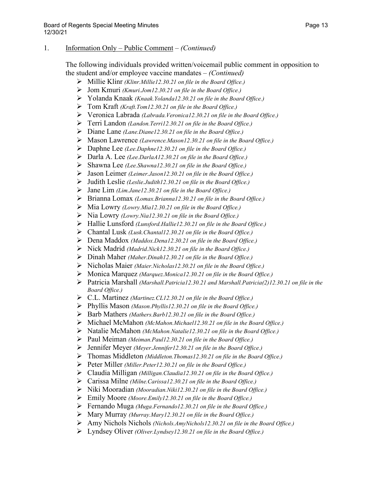- Millie Klinr *(Klinr.Millie12.30.21 on file in the Board Office.)*
- Jom Kmuri *(Kmuri.Jom12.30.21 on file in the Board Office.)*
- Yolanda Knaak *(Knaak.Yolanda12.30.21 on file in the Board Office.)*
- Tom Kraft *(Kraft.Tom12.30.21 on file in the Board Office.)*
- Veronica Labrada *(Labrada.Veronica12.30.21 on file in the Board Office.)*
- Terri Landon *(Landon.Terri12.30.21 on file in the Board Office.)*
- Diane Lane *(Lane.Diane12.30.21 on file in the Board Office.)*
- Mason Lawrence *(Lawrence.Mason12.30.21 on file in the Board Office.)*
- Daphne Lee *(Lee.Daphne12.30.21 on file in the Board Office.)*
- Darla A. Lee *(Lee.DarlaA12.30.21 on file in the Board Office.)*
- Shawna Lee *(Lee.Shawna12.30.21 on file in the Board Office.)*
- Jason Leimer *(Leimer.Jason12.30.21 on file in the Board Office.)*
- Judith Leslie *(Leslie.Judith12.30.21 on file in the Board Office.)*
- Jane Lim *(Lim.Jane12.30.21 on file in the Board Office.)*
- Brianna Lomax *(Lomax.Brianna12.30.21 on file in the Board Office.)*
- Mia Lowry *(Lowry.Mia12.30.21 on file in the Board Office.)*
- Nia Lowry *(Lowry.Nia12.30.21 on file in the Board Office.)*
- Hallie Lunsford *(Lunsford.Hallie12.30.21 on file in the Board Office.)*
- Chantal Lusk *(Lusk.Chantal12.30.21 on file in the Board Office.)*
- Dena Maddox *(Maddox.Dena12.30.21 on file in the Board Office.)*
- Nick Madrid *(Madrid.Nick12.30.21 on file in the Board Office.)*
- Dinah Maher *(Maher.Dinah12.30.21 on file in the Board Office.)*
- Nicholas Maier *(Maier.Nicholas12.30.21 on file in the Board Office.)*
- Monica Marquez *(Marquez.Monica12.30.21 on file in the Board Office.)*
- Patricia Marshall *(Marshall.Patricia12.30.21 and Marshall.Patricia(2)12.30.21 on file in the Board Office.)*
- C.L. Martinez *(Martinez.CL12.30.21 on file in the Board Office.)*
- Phyllis Mason *(Mason.Phyllis12.30.21 on file in the Board Office.)*
- Barb Mathers *(Mathers.Barb12.30.21 on file in the Board Office.)*
- Michael McMahon *(McMahon.Michael12.30.21 on file in the Board Office.)*
- Natalie McMahon *(McMahon.Natalie12.30.21 on file in the Board Office.)*
- Paul Meiman *(Meiman.Paul12.30.21 on file in the Board Office.)*
- Jennifer Meyer *(Meyer.Jennifer12.30.21 on file in the Board Office.)*
- Thomas Middleton *(Middleton.Thomas12.30.21 on file in the Board Office.)*
- Peter Miller *(Miller.Peter12.30.21 on file in the Board Office.)*
- Claudia Milligan *(Milligan.Claudia12.30.21 on file in the Board Office.)*
- Carissa Milne *(Milne.Carissa12.30.21 on file in the Board Office.)*
- Niki Mooradian *(Mooradian.Niki12.30.21 on file in the Board Office.)*
- Emily Moore *(Moore.Emily12.30.21 on file in the Board Office.)*
- Fernando Muga *(Muga.Fernando12.30.21 on file in the Board Office.)*
- Mary Murray *(Murray.Mary12.30.21 on file in the Board Office.)*
- Amy Nichols Nichols *(Nichols.AmyNichols12.30.21 on file in the Board Office.)*
- Lyndsey Oliver *(Oliver.Lyndsey12.30.21 on file in the Board Office.)*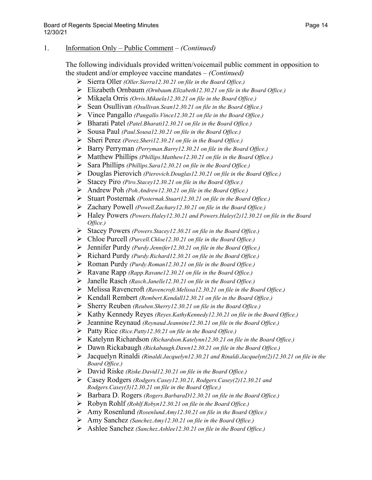- Sierra Oller *(Oller.Sierra12.30.21 on file in the Board Office.)*
- Elizabeth Ornbaum *(Ornbaum.Elizabeth12.30.21 on file in the Board Office.)*
- Mikaela Orris *(Orris.Mikaela12.30.21 on file in the Board Office.)*
- Sean Osullivan *(Osullivan.Sean12.30.21 on file in the Board Office.)*
- Vince Pangallo *(Pangallo.Vince12.30.21 on file in the Board Office.)*
- Bharati Patel *(Patel.Bharati12.30.21 on file in the Board Office.)*
- Sousa Paul *(Paul.Sousa12.30.21 on file in the Board Office.)*
- Sheri Perez *(Perez.Sheri12.30.21 on file in the Board Office.)*
- Barry Perryman *(Perryman.Barry12.30.21 on file in the Board Office.)*
- Matthew Phillips *(Phillips.Matthew12.30.21 on file in the Board Office.)*
- Sara Phillips *(Phillips.Sara12.30.21 on file in the Board Office.)*
- Douglas Pierovich *(Pierovich.Douglas12.30.21 on file in the Board Office.)*
- Stacey Piro *(Piro.Stacey12.30.21 on file in the Board Office.)*
- Andrew Poh *(Poh.Andrew12.30.21 on file in the Board Office.)*
- Stuart Posternak *(Posternak.Stuart12.30.21 on file in the Board Office.)*
- Zachary Powell *(Powell.Zachary12.30.21 on file in the Board Office.)*
- Haley Powers *(Powers.Haley12.30.21 and Powers.Haley(2)12.30.21 on file in the Board Office.)*
- Stacey Powers *(Powers.Stacey12.30.21 on file in the Board Office.)*
- Chloe Purcell *(Purcell.Chloe12.30.21 on file in the Board Office.)*
- Jennifer Purdy *(Purdy.Jennifer12.30.21 on file in the Board Office.)*
- Richard Purdy *(Purdy.Richard12.30.21 on file in the Board Office.)*
- Roman Purdy *(Purdy.Roman12.30.21 on file in the Board Office.)*
- Ravane Rapp *(Rapp.Ravane12.30.21 on file in the Board Office.)*
- Janelle Rasch *(Rasch.Janelle12.30.21 on file in the Board Office.)*
- Melissa Ravencroft *(Ravencroft.Melissa12.30.21 on file in the Board Office.)*
- Kendall Rembert *(Rembert.Kendall12.30.21 on file in the Board Office.)*
- Sherry Reuben *(Reuben.Sherry12.30.21 on file in the Board Office.)*
- Kathy Kennedy Reyes *(Reyes.KathyKennedy12.30.21 on file in the Board Office.)*
- Jeannine Reynaud *(Reynaud.Jeannine12.30.21 on file in the Board Office.)*
- Patty Rice *(Rice.Patty12.30.21 on file in the Board Office.)*
- Katelynn Richardson *(Richardson.Katelynn12.30.21 on file in the Board Office.)*
- Dawn Rickabaugh *(Rickabaugh.Dawn12.30.21 on file in the Board Office.)*
- Jacquelyn Rinaldi *(Rinaldi.Jacquelyn12.30.21 and Rinaldi.Jacquelyn(2)12.30.21 on file in the Board Office.)*
- David Riske *(Riske.David12.30.21 on file in the Board Office.)*
- Casey Rodgers *(Rodgers.Casey12.30.21, Rodgers.Casey(2)12.30.21 and Rodgers.Casey(3)12.30.21 on file in the Board Office.)*
- Barbara D. Rogers *(Rogers.BarbaraD12.30.21 on file in the Board Office.)*
- Robyn Rohlf *(Rohlf.Robyn12.30.21 on file in the Board Office.)*
- Amy Rosenlund *(Rosenlund.Amy12.30.21 on file in the Board Office.)*
- Amy Sanchez *(Sanchez.Amy12.30.21 on file in the Board Office.)*
- Ashlee Sanchez *(Sanchez.Ashlee12.30.21 on file in the Board Office.)*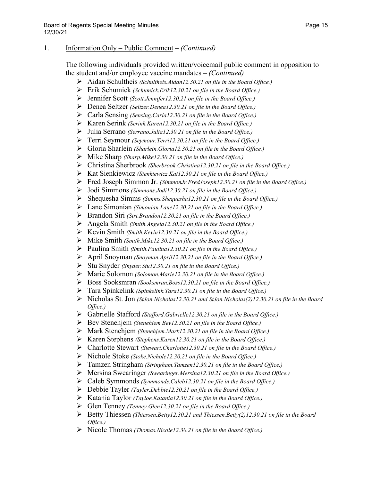- Aidan Schultheis *(Schultheis.Aidan12.30.21 on file in the Board Office.)*
- Erik Schumick *(Schumick.Erik12.30.21 on file in the Board Office.)*
- Jennifer Scott *(Scott.Jennifer12.30.21 on file in the Board Office.)*
- Denea Seltzer *(Seltzer.Denea12.30.21 on file in the Board Office.)*
- Carla Sensing *(Sensing.Carla12.30.21 on file in the Board Office.)*
- Karen Serink *(Serink.Karen12.30.21 on file in the Board Office.)*
- Julia Serrano *(Serrano.Julia12.30.21 on file in the Board Office.)*
- Terri Seymour *(Seymour.Terri12.30.21 on file in the Board Office.)*
- Gloria Sharlein *(Sharlein.Gloria12.30.21 on file in the Board Office.)*
- Mike Sharp *(Sharp.Mike12.30.21 on file in the Board Office.)*
- Christina Sherbrook *(Sherbrook.Christina12.30.21 on file in the Board Office.)*
- Kat Sienkiewicz *(Sienkiewicz.Kat12.30.21 on file in the Board Office.)*
- Fred Joseph Simmon Jr. *(SimmonJr.FredJoseph12.30.21 on file in the Board Office.)*
- Jodi Simmons *(Simmons.Jodi12.30.21 on file in the Board Office.)*
- Shequesha Simms *(Simms.Shequesha12.30.21 on file in the Board Office.)*
- Lane Simonian *(Simonian.Lane12.30.21 on file in the Board Office.)*
- Brandon Siri *(Siri.Brandon12.30.21 on file in the Board Office.)*
- Angela Smith *(Smith.Angela12.30.21 on file in the Board Office.)*
- Kevin Smith *(Smith.Kevin12.30.21 on file in the Board Office.)*
- Mike Smith *(Smith.Mike12.30.21 on file in the Board Office.)*
- Paulina Smith *(Smith.Paulina12.30.21 on file in the Board Office.)*
- April Snoyman *(Snoyman.April12.30.21 on file in the Board Office.)*
- Stu Snyder *(Snyder.Stu12.30.21 on file in the Board Office.)*
- Marie Solomon *(Solomon.Marie12.30.21 on file in the Board Office.)*
- Boss Sooksmran *(Sooksmran.Boss12.30.21 on file in the Board Office.)*
- Tara Spinkelink *(Spinkelink.Tara12.30.21 on file in the Board Office.)*
- Nicholas St. Jon *(StJon.Nicholas12.30.21 and StJon.Nicholas(2)12.30.21 on file in the Board Office.)*
- Gabrielle Stafford *(Stafford.Gabrielle12.30.21 on file in the Board Office.)*
- Bev Stenehjem *(Stenehjem.Bev12.30.21 on file in the Board Office.)*
- Mark Stenehjem *(Stenehjem.Mark12.30.21 on file in the Board Office.)*
- Karen Stephens *(Stephens.Karen12.30.21 on file in the Board Office.)*
- Charlotte Stewart *(Stewart.Charlotte12.30.21 on file in the Board Office.)*
- Nichole Stoke *(Stoke.Nichole12.30.21 on file in the Board Office.)*
- Tamzen Stringham *(Stringham.Tamzen12.30.21 on file in the Board Office.)*
- Mersina Swearinger *(Swearinger.Mersina12.30.21 on file in the Board Office.)*
- Caleb Symmonds *(Symmonds.Caleb12.30.21 on file in the Board Office.)*
- Debbie Tayler *(Tayler.Debbie12.30.21 on file in the Board Office.)*
- Katania Taylor *(Tayloe.Katania12.30.21 on file in the Board Office.)*
- Glen Tenney *(Tenney.Glen12.30.21 on file in the Board Office.)*
- Betty Thiessen *(Thiessen.Betty12.30.21 and Thiessen.Betty(2)12.30.21 on file in the Board Office.)*
- Nicole Thomas *(Thomas.Nicole12.30.21 on file in the Board Office.)*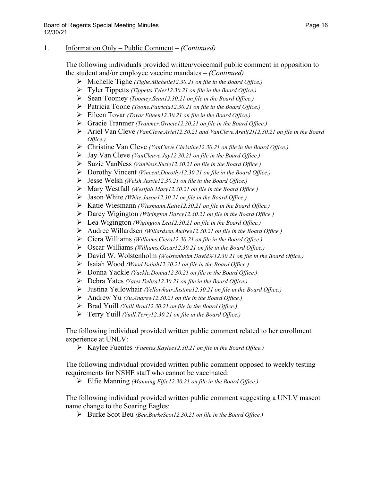The following individuals provided written/voicemail public comment in opposition to the student and/or employee vaccine mandates – *(Continued)*

- Michelle Tighe *(Tighe.Michelle12.30.21 on file in the Board Office.)*
- Tyler Tippetts *(Tippetts.Tyler12.30.21 on file in the Board Office.)*
- Sean Toomey *(Toomey.Sean12.30.21 on file in the Board Office.)*
- Patricia Toone *(Toone.Patricia12.30.21 on file in the Board Office.)*
- Eileen Tovar *(Tovar.Eileen12.30.21 on file in the Board Office.)*
- Gracie Tranmer *(Tranmer.Gracie12.30.21 on file in the Board Office.)*
- Ariel Van Cleve *(VanCleve.Ariel12.30.21 and VanCleve.Areil(2)12.30.21 on file in the Board Office.)*
- Christine Van Cleve *(VanCleve.Christine12.30.21 on file in the Board Office.)*
- Jay Van Cleve *(VanCleave.Jay12.30.21 on file in the Board Office.)*
- Suzie VanNess *(VanNess.Suzie12.30.21 on file in the Board Office.)*
- Dorothy Vincent *(Vincent.Dorothy12.30.21 on file in the Board Office.)*
- Jesse Welsh *(Welsh.Jessie12.30.21 on file in the Board Office.)*
- Mary Westfall *(Westfall.Mary12.30.21 on file in the Board Office.)*
- Jason White *(White.Jason12.30.21 on file in the Board Office.)*
- Katie Wiesmann *(Wiesmann.Katie12.30.21 on file in the Board Office.)*
- Darcy Wigington *(Wigington.Darcy12.30.21 on file in the Board Office.)*
- Lea Wigington *(Wigington.Lea12.30.21 on file in the Board Office.)*
- Audree Willardsen *(Willardsen.Audree12.30.21 on file in the Board Office.)*
- Ciera Williams *(Williams.Ciera12.30.21 on file in the Board Office.)*
- Oscar Williams *(Williams.Oscar12.30.21 on file in the Board Office.)*
- David W. Wolstenholm *(Wolstenholm.DavidW12.30.21 on file in the Board Office.)*
- Isaiah Wood *(Wood.Isaiah12.30.21 on file in the Board Office.)*
- Donna Yackle *(Yackle.Donna12.30.21 on file in the Board Office.)*
- Debra Yates *(Yates.Debra12.30.21 on file in the Board Office.)*
- Justina Yellowhair *(Yellowhair.Justina12.30.21 on file in the Board Office.)*
- Andrew Yu *(Yu.Andrew12.30.21 on file in the Board Office.)*
- Brad Yuill *(Yuill.Brad12.30.21 on file in the Board Office.)*
- Terry Yuill *(Yuill.Terry12.30.21 on file in the Board Office.)*

The following individual provided written public comment related to her enrollment experience at UNLV:

Kaylee Fuentes *(Fuentes.Kaylee12.30.21 on file in the Board Office.)*

The following individual provided written public comment opposed to weekly testing requirements for NSHE staff who cannot be vaccinated:

Elfie Manning *(Manning.Elfie12.30.21 on file in the Board Office.)*

The following individual provided written public comment suggesting a UNLV mascot name change to the Soaring Eagles:

Burke Scot Beu *(Beu.BurkeScot12.30.21 on file in the Board Office.)*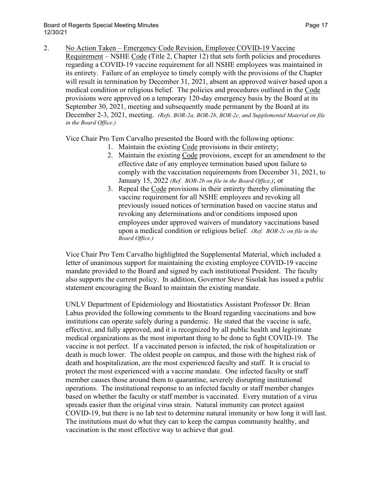2. No Action Taken – Emergency Code Revision, Employee COVID-19 Vaccine Requirement – NSHE Code (Title 2, Chapter 12) that sets forth policies and procedures regarding a COVID-19 vaccine requirement for all NSHE employees was maintained in its entirety. Failure of an employee to timely comply with the provisions of the Chapter will result in termination by December 31, 2021, absent an approved waiver based upon a medical condition or religious belief. The policies and procedures outlined in the Code provisions were approved on a temporary 120-day emergency basis by the Board at its September 30, 2021, meeting and subsequently made permanent by the Board at its December 2-3, 2021, meeting. *(Refs. BOR-2a, BOR-2b, BOR-2c, and Supplemental Material on file in the Board Office.)*

Vice Chair Pro Tem Carvalho presented the Board with the following options:

- 1. Maintain the existing Code provisions in their entirety;
- 2. Maintain the existing Code provisions, except for an amendment to the effective date of any employee termination based upon failure to comply with the vaccination requirements from December 31, 2021, to January 15, 2022 *(Ref. BOR-2b on file in the Board Office.)*; or
- 3. Repeal the Code provisions in their entirety thereby eliminating the vaccine requirement for all NSHE employees and revoking all previously issued notices of termination based on vaccine status and revoking any determinations and/or conditions imposed upon employees under approved waivers of mandatory vaccinations based upon a medical condition or religious belief. *(Ref. BOR-2c on file in the Board Office.)*

Vice Chair Pro Tem Carvalho highlighted the Supplemental Material, which included a letter of unanimous support for maintaining the existing employee COVID-19 vaccine mandate provided to the Board and signed by each institutional President. The faculty also supports the current policy. In addition, Governor Steve Sisolak has issued a public statement encouraging the Board to maintain the existing mandate.

UNLV Department of Epidemiology and Biostatistics Assistant Professor Dr. Brian Labus provided the following comments to the Board regarding vaccinations and how institutions can operate safely during a pandemic. He stated that the vaccine is safe, effective, and fully approved, and it is recognized by all public health and legitimate medical organizations as the most important thing to be done to fight COVID-19. The vaccine is not perfect. If a vaccinated person is infected, the risk of hospitalization or death is much lower. The oldest people on campus, and those with the highest risk of death and hospitalization, are the most experienced faculty and staff. It is crucial to protect the most experienced with a vaccine mandate. One infected faculty or staff member causes those around them to quarantine, severely disrupting institutional operations. The institutional response to an infected faculty or staff member changes based on whether the faculty or staff member is vaccinated. Every mutation of a virus spreads easier than the original virus strain. Natural immunity can protect against COVID-19, but there is no lab test to determine natural immunity or how long it will last. The institutions must do what they can to keep the campus community healthy, and vaccination is the most effective way to achieve that goal.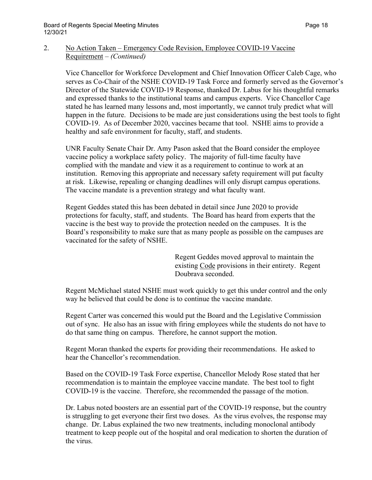Vice Chancellor for Workforce Development and Chief Innovation Officer Caleb Cage, who serves as Co-Chair of the NSHE COVID-19 Task Force and formerly served as the Governor's Director of the Statewide COVID-19 Response, thanked Dr. Labus for his thoughtful remarks and expressed thanks to the institutional teams and campus experts. Vice Chancellor Cage stated he has learned many lessons and, most importantly, we cannot truly predict what will happen in the future. Decisions to be made are just considerations using the best tools to fight COVID-19. As of December 2020, vaccines became that tool. NSHE aims to provide a healthy and safe environment for faculty, staff, and students.

UNR Faculty Senate Chair Dr. Amy Pason asked that the Board consider the employee vaccine policy a workplace safety policy. The majority of full-time faculty have complied with the mandate and view it as a requirement to continue to work at an institution. Removing this appropriate and necessary safety requirement will put faculty at risk. Likewise, repealing or changing deadlines will only disrupt campus operations. The vaccine mandate is a prevention strategy and what faculty want.

Regent Geddes stated this has been debated in detail since June 2020 to provide protections for faculty, staff, and students. The Board has heard from experts that the vaccine is the best way to provide the protection needed on the campuses. It is the Board's responsibility to make sure that as many people as possible on the campuses are vaccinated for the safety of NSHE.

> Regent Geddes moved approval to maintain the existing Code provisions in their entirety. Regent Doubrava seconded.

Regent McMichael stated NSHE must work quickly to get this under control and the only way he believed that could be done is to continue the vaccine mandate.

Regent Carter was concerned this would put the Board and the Legislative Commission out of sync. He also has an issue with firing employees while the students do not have to do that same thing on campus. Therefore, he cannot support the motion.

Regent Moran thanked the experts for providing their recommendations. He asked to hear the Chancellor's recommendation.

Based on the COVID-19 Task Force expertise, Chancellor Melody Rose stated that her recommendation is to maintain the employee vaccine mandate. The best tool to fight COVID-19 is the vaccine. Therefore, she recommended the passage of the motion.

Dr. Labus noted boosters are an essential part of the COVID-19 response, but the country is struggling to get everyone their first two doses. As the virus evolves, the response may change. Dr. Labus explained the two new treatments, including monoclonal antibody treatment to keep people out of the hospital and oral medication to shorten the duration of the virus.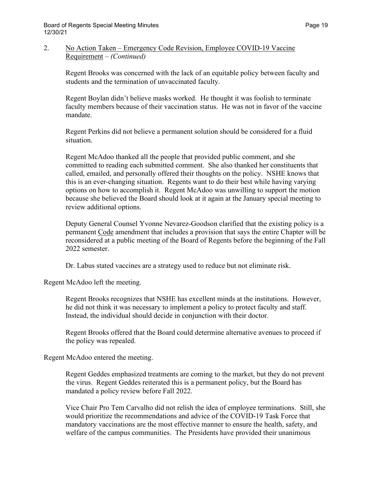## 2. No Action Taken – Emergency Code Revision, Employee COVID-19 Vaccine Requirement – *(Continued)*

Regent Brooks was concerned with the lack of an equitable policy between faculty and students and the termination of unvaccinated faculty.

Regent Boylan didn't believe masks worked. He thought it was foolish to terminate faculty members because of their vaccination status. He was not in favor of the vaccine mandate.

Regent Perkins did not believe a permanent solution should be considered for a fluid situation.

Regent McAdoo thanked all the people that provided public comment, and she committed to reading each submitted comment. She also thanked her constituents that called, emailed, and personally offered their thoughts on the policy. NSHE knows that this is an ever-changing situation. Regents want to do their best while having varying options on how to accomplish it. Regent McAdoo was unwilling to support the motion because she believed the Board should look at it again at the January special meeting to review additional options.

Deputy General Counsel Yvonne Nevarez-Goodson clarified that the existing policy is a permanent Code amendment that includes a provision that says the entire Chapter will be reconsidered at a public meeting of the Board of Regents before the beginning of the Fall 2022 semester.

Dr. Labus stated vaccines are a strategy used to reduce but not eliminate risk.

Regent McAdoo left the meeting.

Regent Brooks recognizes that NSHE has excellent minds at the institutions. However, he did not think it was necessary to implement a policy to protect faculty and staff. Instead, the individual should decide in conjunction with their doctor.

Regent Brooks offered that the Board could determine alternative avenues to proceed if the policy was repealed.

Regent McAdoo entered the meeting.

Regent Geddes emphasized treatments are coming to the market, but they do not prevent the virus. Regent Geddes reiterated this is a permanent policy, but the Board has mandated a policy review before Fall 2022.

Vice Chair Pro Tem Carvalho did not relish the idea of employee terminations. Still, she would prioritize the recommendations and advice of the COVID-19 Task Force that mandatory vaccinations are the most effective manner to ensure the health, safety, and welfare of the campus communities. The Presidents have provided their unanimous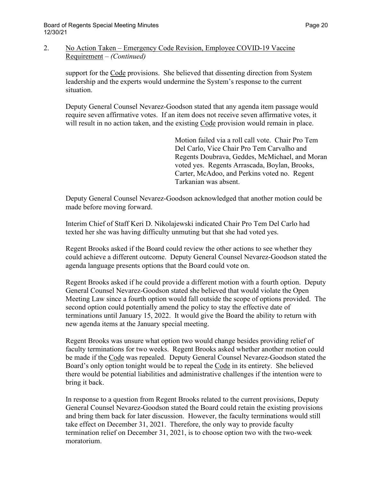## 2. No Action Taken – Emergency Code Revision, Employee COVID-19 Vaccine Requirement – *(Continued)*

support for the Code provisions. She believed that dissenting direction from System leadership and the experts would undermine the System's response to the current situation.

Deputy General Counsel Nevarez-Goodson stated that any agenda item passage would require seven affirmative votes. If an item does not receive seven affirmative votes, it will result in no action taken, and the existing Code provision would remain in place.

> Motion failed via a roll call vote. Chair Pro Tem Del Carlo, Vice Chair Pro Tem Carvalho and Regents Doubrava, Geddes, McMichael, and Moran voted yes. Regents Arrascada, Boylan, Brooks, Carter, McAdoo, and Perkins voted no. Regent Tarkanian was absent.

Deputy General Counsel Nevarez-Goodson acknowledged that another motion could be made before moving forward.

Interim Chief of Staff Keri D. Nikolajewski indicated Chair Pro Tem Del Carlo had texted her she was having difficulty unmuting but that she had voted yes.

Regent Brooks asked if the Board could review the other actions to see whether they could achieve a different outcome. Deputy General Counsel Nevarez-Goodson stated the agenda language presents options that the Board could vote on.

Regent Brooks asked if he could provide a different motion with a fourth option. Deputy General Counsel Nevarez-Goodson stated she believed that would violate the Open Meeting Law since a fourth option would fall outside the scope of options provided. The second option could potentially amend the policy to stay the effective date of terminations until January 15, 2022. It would give the Board the ability to return with new agenda items at the January special meeting.

Regent Brooks was unsure what option two would change besides providing relief of faculty terminations for two weeks. Regent Brooks asked whether another motion could be made if the Code was repealed. Deputy General Counsel Nevarez-Goodson stated the Board's only option tonight would be to repeal the Code in its entirety. She believed there would be potential liabilities and administrative challenges if the intention were to bring it back.

In response to a question from Regent Brooks related to the current provisions, Deputy General Counsel Nevarez-Goodson stated the Board could retain the existing provisions and bring them back for later discussion. However, the faculty terminations would still take effect on December 31, 2021. Therefore, the only way to provide faculty termination relief on December 31, 2021, is to choose option two with the two-week moratorium.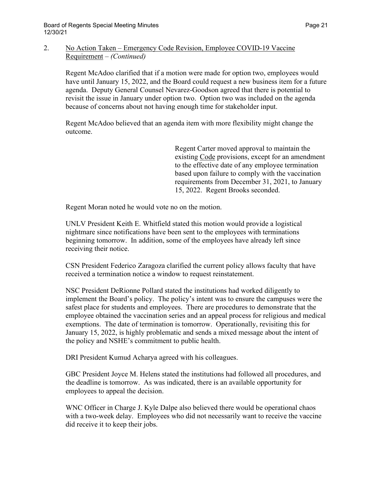## 2. No Action Taken – Emergency Code Revision, Employee COVID-19 Vaccine Requirement – *(Continued)*

Regent McAdoo clarified that if a motion were made for option two, employees would have until January 15, 2022, and the Board could request a new business item for a future agenda. Deputy General Counsel Nevarez-Goodson agreed that there is potential to revisit the issue in January under option two. Option two was included on the agenda because of concerns about not having enough time for stakeholder input.

Regent McAdoo believed that an agenda item with more flexibility might change the outcome.

> Regent Carter moved approval to maintain the existing Code provisions, except for an amendment to the effective date of any employee termination based upon failure to comply with the vaccination requirements from December 31, 2021, to January 15, 2022. Regent Brooks seconded.

Regent Moran noted he would vote no on the motion.

UNLV President Keith E. Whitfield stated this motion would provide a logistical nightmare since notifications have been sent to the employees with terminations beginning tomorrow. In addition, some of the employees have already left since receiving their notice.

CSN President Federico Zaragoza clarified the current policy allows faculty that have received a termination notice a window to request reinstatement.

NSC President DeRionne Pollard stated the institutions had worked diligently to implement the Board's policy. The policy's intent was to ensure the campuses were the safest place for students and employees. There are procedures to demonstrate that the employee obtained the vaccination series and an appeal process for religious and medical exemptions. The date of termination is tomorrow. Operationally, revisiting this for January 15, 2022, is highly problematic and sends a mixed message about the intent of the policy and NSHE's commitment to public health.

DRI President Kumud Acharya agreed with his colleagues.

GBC President Joyce M. Helens stated the institutions had followed all procedures, and the deadline is tomorrow. As was indicated, there is an available opportunity for employees to appeal the decision.

WNC Officer in Charge J. Kyle Dalpe also believed there would be operational chaos with a two-week delay. Employees who did not necessarily want to receive the vaccine did receive it to keep their jobs.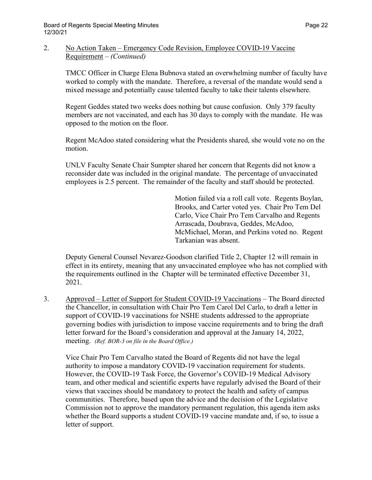## 2. No Action Taken – Emergency Code Revision, Employee COVID-19 Vaccine Requirement – *(Continued)*

TMCC Officer in Charge Elena Bubnova stated an overwhelming number of faculty have worked to comply with the mandate. Therefore, a reversal of the mandate would send a mixed message and potentially cause talented faculty to take their talents elsewhere.

Regent Geddes stated two weeks does nothing but cause confusion. Only 379 faculty members are not vaccinated, and each has 30 days to comply with the mandate. He was opposed to the motion on the floor.

Regent McAdoo stated considering what the Presidents shared, she would vote no on the motion.

UNLV Faculty Senate Chair Sumpter shared her concern that Regents did not know a reconsider date was included in the original mandate. The percentage of unvaccinated employees is 2.5 percent. The remainder of the faculty and staff should be protected.

> Motion failed via a roll call vote. Regents Boylan, Brooks, and Carter voted yes. Chair Pro Tem Del Carlo, Vice Chair Pro Tem Carvalho and Regents Arrascada, Doubrava, Geddes, McAdoo, McMichael, Moran, and Perkins voted no. Regent Tarkanian was absent.

Deputy General Counsel Nevarez-Goodson clarified Title 2, Chapter 12 will remain in effect in its entirety, meaning that any unvaccinated employee who has not complied with the requirements outlined in the Chapter will be terminated effective December 31, 2021.

3. Approved – Letter of Support for Student COVID-19 Vaccinations – The Board directed the Chancellor, in consultation with Chair Pro Tem Carol Del Carlo, to draft a letter in support of COVID-19 vaccinations for NSHE students addressed to the appropriate governing bodies with jurisdiction to impose vaccine requirements and to bring the draft letter forward for the Board's consideration and approval at the January 14, 2022, meeting. *(Ref. BOR-3 on file in the Board Office.)*

Vice Chair Pro Tem Carvalho stated the Board of Regents did not have the legal authority to impose a mandatory COVID-19 vaccination requirement for students. However, the COVID-19 Task Force, the Governor's COVID-19 Medical Advisory team, and other medical and scientific experts have regularly advised the Board of their views that vaccines should be mandatory to protect the health and safety of campus communities. Therefore, based upon the advice and the decision of the Legislative Commission not to approve the mandatory permanent regulation, this agenda item asks whether the Board supports a student COVID-19 vaccine mandate and, if so, to issue a letter of support.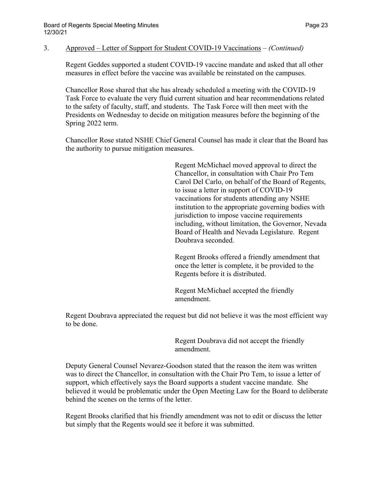### 3. Approved – Letter of Support for Student COVID-19 Vaccinations – *(Continued)*

Regent Geddes supported a student COVID-19 vaccine mandate and asked that all other measures in effect before the vaccine was available be reinstated on the campuses.

Chancellor Rose shared that she has already scheduled a meeting with the COVID-19 Task Force to evaluate the very fluid current situation and hear recommendations related to the safety of faculty, staff, and students. The Task Force will then meet with the Presidents on Wednesday to decide on mitigation measures before the beginning of the Spring 2022 term.

Chancellor Rose stated NSHE Chief General Counsel has made it clear that the Board has the authority to pursue mitigation measures.

> Regent McMichael moved approval to direct the Chancellor, in consultation with Chair Pro Tem Carol Del Carlo, on behalf of the Board of Regents, to issue a letter in support of COVID-19 vaccinations for students attending any NSHE institution to the appropriate governing bodies with jurisdiction to impose vaccine requirements including, without limitation, the Governor, Nevada Board of Health and Nevada Legislature. Regent Doubrava seconded.

Regent Brooks offered a friendly amendment that once the letter is complete, it be provided to the Regents before it is distributed.

Regent McMichael accepted the friendly amendment.

Regent Doubrava appreciated the request but did not believe it was the most efficient way to be done.

> Regent Doubrava did not accept the friendly amendment.

Deputy General Counsel Nevarez-Goodson stated that the reason the item was written was to direct the Chancellor, in consultation with the Chair Pro Tem, to issue a letter of support, which effectively says the Board supports a student vaccine mandate. She believed it would be problematic under the Open Meeting Law for the Board to deliberate behind the scenes on the terms of the letter.

Regent Brooks clarified that his friendly amendment was not to edit or discuss the letter but simply that the Regents would see it before it was submitted.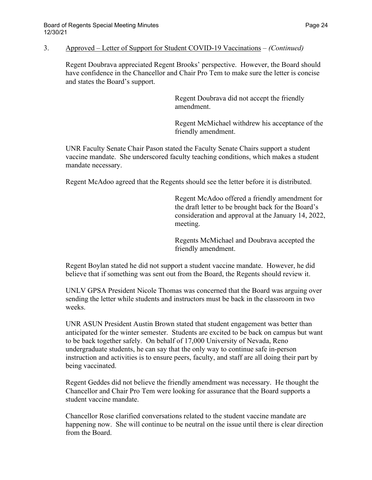#### 3. Approved – Letter of Support for Student COVID-19 Vaccinations – *(Continued)*

Regent Doubrava appreciated Regent Brooks' perspective. However, the Board should have confidence in the Chancellor and Chair Pro Tem to make sure the letter is concise and states the Board's support.

> Regent Doubrava did not accept the friendly amendment.

Regent McMichael withdrew his acceptance of the friendly amendment.

UNR Faculty Senate Chair Pason stated the Faculty Senate Chairs support a student vaccine mandate. She underscored faculty teaching conditions, which makes a student mandate necessary.

Regent McAdoo agreed that the Regents should see the letter before it is distributed.

Regent McAdoo offered a friendly amendment for the draft letter to be brought back for the Board's consideration and approval at the January 14, 2022, meeting.

Regents McMichael and Doubrava accepted the friendly amendment.

Regent Boylan stated he did not support a student vaccine mandate. However, he did believe that if something was sent out from the Board, the Regents should review it.

UNLV GPSA President Nicole Thomas was concerned that the Board was arguing over sending the letter while students and instructors must be back in the classroom in two weeks.

UNR ASUN President Austin Brown stated that student engagement was better than anticipated for the winter semester. Students are excited to be back on campus but want to be back together safely. On behalf of 17,000 University of Nevada, Reno undergraduate students, he can say that the only way to continue safe in-person instruction and activities is to ensure peers, faculty, and staff are all doing their part by being vaccinated.

Regent Geddes did not believe the friendly amendment was necessary. He thought the Chancellor and Chair Pro Tem were looking for assurance that the Board supports a student vaccine mandate.

Chancellor Rose clarified conversations related to the student vaccine mandate are happening now. She will continue to be neutral on the issue until there is clear direction from the Board.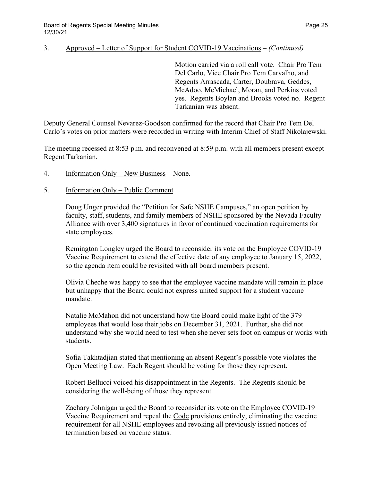## 3. Approved – Letter of Support for Student COVID-19 Vaccinations – *(Continued)*

Motion carried via a roll call vote. Chair Pro Tem Del Carlo, Vice Chair Pro Tem Carvalho, and Regents Arrascada, Carter, Doubrava, Geddes, McAdoo, McMichael, Moran, and Perkins voted yes. Regents Boylan and Brooks voted no. Regent Tarkanian was absent.

Deputy General Counsel Nevarez-Goodson confirmed for the record that Chair Pro Tem Del Carlo's votes on prior matters were recorded in writing with Interim Chief of Staff Nikolajewski.

The meeting recessed at 8:53 p.m. and reconvened at 8:59 p.m. with all members present except Regent Tarkanian.

4. Information Only – New Business – None.

## 5. Information Only – Public Comment

Doug Unger provided the "Petition for Safe NSHE Campuses," an open petition by faculty, staff, students, and family members of NSHE sponsored by the Nevada Faculty Alliance with over 3,400 signatures in favor of continued vaccination requirements for state employees.

Remington Longley urged the Board to reconsider its vote on the Employee COVID-19 Vaccine Requirement to extend the effective date of any employee to January 15, 2022, so the agenda item could be revisited with all board members present.

Olivia Cheche was happy to see that the employee vaccine mandate will remain in place but unhappy that the Board could not express united support for a student vaccine mandate.

Natalie McMahon did not understand how the Board could make light of the 379 employees that would lose their jobs on December 31, 2021. Further, she did not understand why she would need to test when she never sets foot on campus or works with students.

Sofia Takhtadjian stated that mentioning an absent Regent's possible vote violates the Open Meeting Law. Each Regent should be voting for those they represent.

Robert Bellucci voiced his disappointment in the Regents. The Regents should be considering the well-being of those they represent.

Zachary Johnigan urged the Board to reconsider its vote on the Employee COVID-19 Vaccine Requirement and repeal the Code provisions entirely, eliminating the vaccine requirement for all NSHE employees and revoking all previously issued notices of termination based on vaccine status.